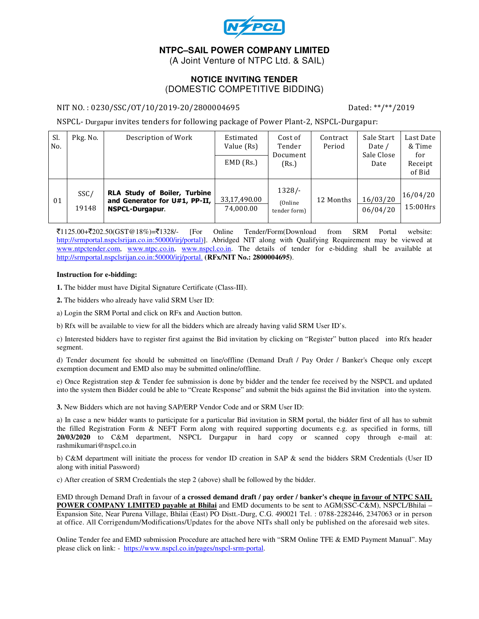

# **NTPC–SAIL POWER COMPANY LIMITED**

(A Joint Venture of NTPC Ltd. & SAIL)

### **NOTICE INVITING TENDER**  (DOMESTIC COMPETITIVE BIDDING)

#### NIT NO.: 0230/SSC/OT/10/2019-20/2800004695 Dated: \*\*/\*\*/2019

NSPCL- Durgapur invites tenders for following package of Power Plant-2, NSPCL-Durgapur:

| Sl.<br>No. | Pkg. No.      | Description of Work                                                                     | Estimated<br>Value (Rs)<br>$EMD$ (Rs.) | Cost of<br>Tender<br>Document<br>(Rs.) | Contract<br>Period | Sale Start<br>Date /<br>Sale Close<br>Date | Last Date<br>& Time<br>for<br>Receipt<br>of Bid |
|------------|---------------|-----------------------------------------------------------------------------------------|----------------------------------------|----------------------------------------|--------------------|--------------------------------------------|-------------------------------------------------|
| 01         | SSC/<br>19148 | RLA Study of Boiler, Turbine<br>and Generator for U#1, PP-II,<br><b>NSPCL-Durgapur.</b> | 33,17,490.00<br>74.000.00              | $1328/-$<br>(Online)<br>tender form)   | 12 Months          | 16/03/20<br>06/04/20                       | 16/04/20<br>$15:00$ Hrs                         |

 $\bar{\mathcal{J}}1125.00+\bar{\mathcal{J}}202.50(GST@18\%)=\bar{\mathcal{J}}1328/-.$  [For Online Tender/Form(Download from SRM Portal website: http://srmportal.nspclsrijan.co.in:50000/irj/portal)]. Abridged NIT along with Qualifying Requirement may be viewed at www.ntpctender.com, www.ntpc.co.in, www.nspcl.co.in. The details of tender for e-bidding shall be available at http://srmportal.nspclsrijan.co.in:50000/irj/portal. **(RFx/NIT No.: 2800004695)**.

#### **Instruction for e-bidding:**

**1.** The bidder must have Digital Signature Certificate (Class-III).

**2.** The bidders who already have valid SRM User ID:

a) Login the SRM Portal and click on RFx and Auction button.

b) Rfx will be available to view for all the bidders which are already having valid SRM User ID's.

c) Interested bidders have to register first against the Bid invitation by clicking on "Register" button placed into Rfx header segment.

d) Tender document fee should be submitted on line/offline (Demand Draft / Pay Order / Banker's Cheque only except exemption document and EMD also may be submitted online/offline.

e) Once Registration step & Tender fee submission is done by bidder and the tender fee received by the NSPCL and updated into the system then Bidder could be able to "Create Response" and submit the bids against the Bid invitation into the system.

**3.** New Bidders which are not having SAP/ERP Vendor Code and or SRM User ID:

a) In case a new bidder wants to participate for a particular Bid invitation in SRM portal, the bidder first of all has to submit the filled Registration Form & NEFT Form along with required supporting documents e.g. as specified in forms, till **20/03/2020** to C&M department, NSPCL Durgapur in hard copy or scanned copy through e-mail at: rashmikumari@nspcl.co.in

b) C&M department will initiate the process for vendor ID creation in SAP & send the bidders SRM Credentials (User ID along with initial Password)

c) After creation of SRM Credentials the step 2 (above) shall be followed by the bidder.

EMD through Demand Draft in favour of **a crossed demand draft / pay order / banker's cheque in favour of NTPC SAIL POWER COMPANY LIMITED payable at Bhilai** and EMD documents to be sent to AGM(SSC-C&M), NSPCL/Bhilai – Expansion Site, Near Purena Village, Bhilai (East) PO Distt.-Durg, C.G. 490021 Tel. : 0788-2282446, 2347063 or in person at office. All Corrigendum/Modifications/Updates for the above NITs shall only be published on the aforesaid web sites.

Online Tender fee and EMD submission Procedure are attached here with "SRM Online TFE & EMD Payment Manual". May please click on link: - https://www.nspcl.co.in/pages/nspcl-srm-portal.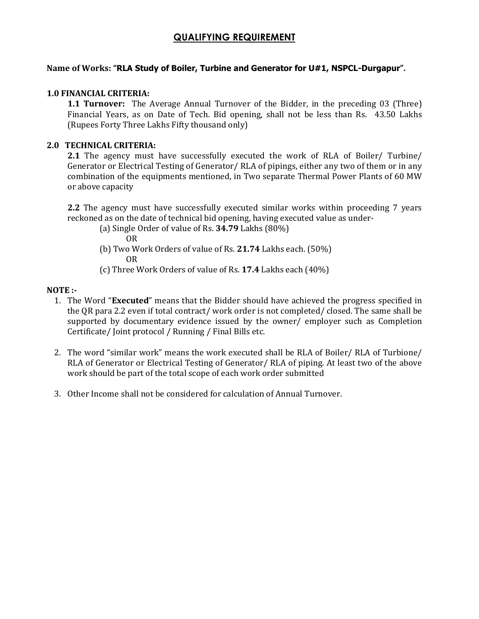# QUALIFYING REQUIREMENT

# Name of Works: "RLA Study of Boiler, Turbine and Generator for U#1, NSPCL-Durgapur".

### 1.0 FINANCIAL CRITERIA:

**1.1 Turnover:** The Average Annual Turnover of the Bidder, in the preceding 03 (Three) Financial Years, as on Date of Tech. Bid opening, shall not be less than Rs. 43.50 Lakhs (Rupees Forty Three Lakhs Fifty thousand only)

## 2.0 TECHNICAL CRITERIA:

2.1 The agency must have successfully executed the work of RLA of Boiler/ Turbine/ Generator or Electrical Testing of Generator/ RLA of pipings, either any two of them or in any combination of the equipments mentioned, in Two separate Thermal Power Plants of 60 MW or above capacity

2.2 The agency must have successfully executed similar works within proceeding 7 years reckoned as on the date of technical bid opening, having executed value as under-

(a) Single Order of value of Rs. 34.79 Lakhs (80%)

OR

- (b) Two Work Orders of value of Rs. 21.74 Lakhs each. (50%) OR
- (c) Three Work Orders of value of Rs. 17.4 Lakhs each (40%)

### NOTE :-

- 1. The Word "Executed" means that the Bidder should have achieved the progress specified in the QR para 2.2 even if total contract/ work order is not completed/ closed. The same shall be supported by documentary evidence issued by the owner/ employer such as Completion Certificate/ Joint protocol / Running / Final Bills etc.
- 2. The word "similar work" means the work executed shall be RLA of Boiler/ RLA of Turbione/ RLA of Generator or Electrical Testing of Generator/ RLA of piping. At least two of the above work should be part of the total scope of each work order submitted
- 3. Other Income shall not be considered for calculation of Annual Turnover.